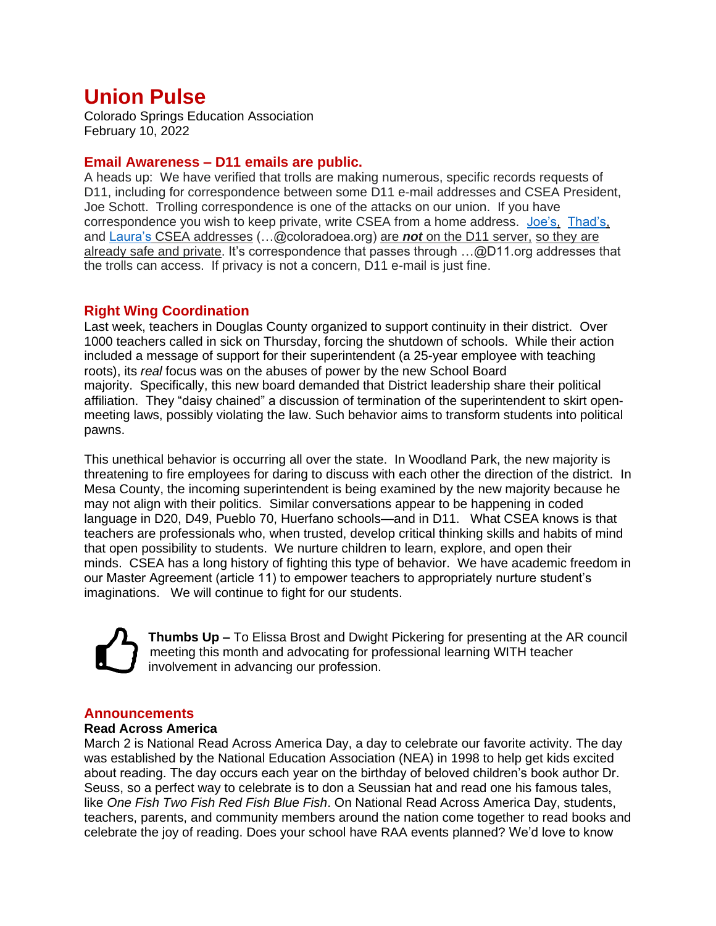# **Union Pulse**

Colorado Springs Education Association February 10, 2022

## **Email Awareness – D11 emails are public.**

A heads up: We have verified that trolls are making numerous, specific records requests of D11, including for correspondence between some D11 e-mail addresses and CSEA President, Joe Schott. Trolling correspondence is one of the attacks on our union. If you have correspondence you wish to keep private, write CSEA from a home address. [Joe's,](mailto:jschott@coloradoea.org) [Thad's,](mailto:tgemski@coloradoea.org) and [Laura's](mailto:lzeitz@coloradoea.org) CSEA addresses (…@coloradoea.org) are *not* on the D11 server, so they are already safe and private. It's correspondence that passes through ...@D11.org addresses that the trolls can access. If privacy is not a concern, D11 e-mail is just fine.

# **Right Wing Coordination**

Last week, teachers in Douglas County organized to support continuity in their district. Over 1000 teachers called in sick on Thursday, forcing the shutdown of schools. While their action included a message of support for their superintendent (a 25-year employee with teaching roots), its *real* focus was on the abuses of power by the new School Board majority. Specifically, this new board demanded that District leadership share their political affiliation. They "daisy chained" a discussion of termination of the superintendent to skirt openmeeting laws, possibly violating the law. Such behavior aims to transform students into political pawns.

This unethical behavior is occurring all over the state. In Woodland Park, the new majority is threatening to fire employees for daring to discuss with each other the direction of the district. In Mesa County, the incoming superintendent is being examined by the new majority because he may not align with their politics. Similar conversations appear to be happening in coded language in D20, D49, Pueblo 70, Huerfano schools—and in D11. What CSEA knows is that teachers are professionals who, when trusted, develop critical thinking skills and habits of mind that open possibility to students. We nurture children to learn, explore, and open their minds. CSEA has a long history of fighting this type of behavior. We have academic freedom in our Master Agreement (article 11) to empower teachers to appropriately nurture student's imaginations. We will continue to fight for our students.

**Thumbs Up –** To Elissa Brost and Dwight Pickering for presenting at the AR council meeting this month and advocating for professional learning WITH teacher involvement in advancing our profession.

# **Announcements**

### **Read Across America**

March 2 is National Read Across America Day, a day to celebrate our favorite activity. The day was established by the National Education Association (NEA) in 1998 to help get kids excited about reading. The day occurs each year on the birthday of beloved children's book author Dr. Seuss, so a perfect way to celebrate is to don a Seussian hat and read one his famous tales, like *One Fish Two Fish Red Fish Blue Fish*. On National Read Across America Day, students, teachers, parents, and community members around the nation come together to read books and celebrate the joy of reading. Does your school have RAA events planned? We'd love to know